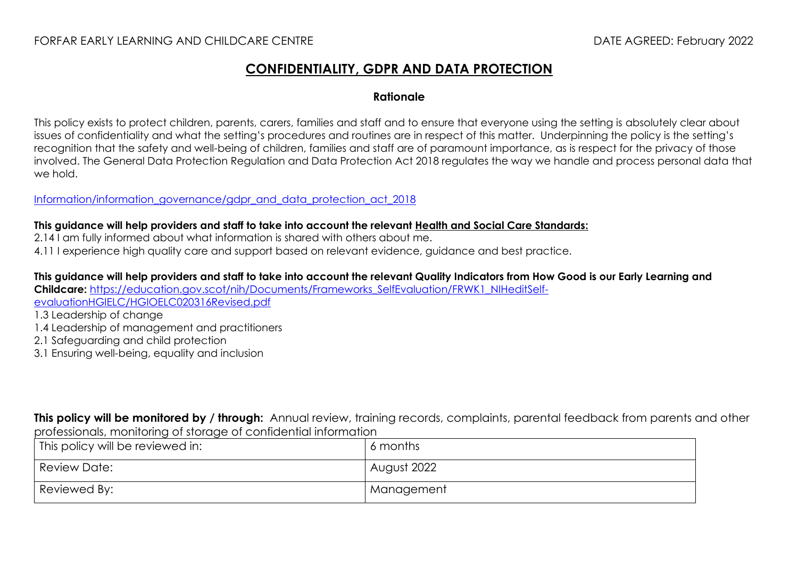## FORFAR EARLY LEARNING AND CHILDCARE CENTRE DATE AGREED: February 2022

## **CONFIDENTIALITY, GDPR AND DATA PROTECTION**

## **Rationale**

This policy exists to protect children, parents, carers, families and staff and to ensure that everyone using the setting is absolutely clear about issues of confidentiality and what the setting's procedures and routines are in respect of this matter. Underpinning the policy is the setting's recognition that the safety and well-being of children, families and staff are of paramount importance, as is respect for the privacy of those involved. The General Data Protection Regulation and Data Protection Act 2018 regulates the way we handle and process personal data that we hold.

[Information/information\\_governance/gdpr\\_and\\_data\\_protection\\_act\\_2018](https://www.angus.gov.uk/council_and_democracy/council_information/information_governance/gdpr_and_data_protection_act_2018)

## **This guidance will help providers and staff to take into account the relevant [Health and Social Care Standards:](https://www.gov.scot/binaries/content/documents/govscot/publications/advice-and-guidance/2017/06/health-social-care-standards-support-life/documents/00520693-pdf/00520693-pdf/govscot%3Adocument/00520693.pdf)**

- 2.14 I am fully informed about what information is shared with others about me.
- 4.11 I experience high quality care and support based on relevant evidence, guidance and best practice.

**This guidance will help providers and staff to take into account the relevant Quality Indicators from How Good is our Early Learning and Childcare:** [https://education.gov.scot/nih/Documents/Frameworks\\_SelfEvaluation/FRWK1\\_NIHeditSelf](https://education.gov.scot/nih/Documents/Frameworks_SelfEvaluation/FRWK1_NIHeditSelf-evaluationHGIELC/HGIOELC020316Revised.pdf)[evaluationHGIELC/HGIOELC020316Revised.pdf](https://education.gov.scot/nih/Documents/Frameworks_SelfEvaluation/FRWK1_NIHeditSelf-evaluationHGIELC/HGIOELC020316Revised.pdf)

1.3 Leadership of change

- 1.4 Leadership of management and practitioners
- 2.1 Safeguarding and child protection
- 3.1 Ensuring well-being, equality and inclusion

**This policy will be monitored by / through:** Annual review, training records, complaints, parental feedback from parents and other professionals, monitoring of storage of confidential information

| This policy will be reviewed in: | 6 months    |
|----------------------------------|-------------|
| Review Date:                     | August 2022 |
| Reviewed By:                     | Management  |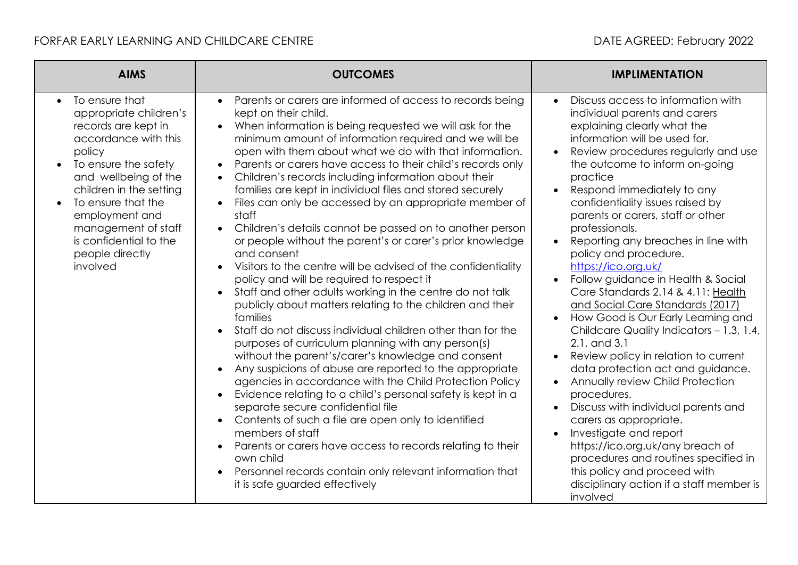| <b>AIMS</b>                                                                                                                                                                                                                                                                                                                    | <b>OUTCOMES</b>                                                                                                                                                                                                                                                                                                                                                                                                                                                                                                                                                                                                                                                                                                                                                                                                                                                                                                                                                                                                                                                                                                                                                                                                                                                                                                                                                                                                                                                                                                                                                                                                                                                                    | <b>IMPLIMENTATION</b>                                                                                                                                                                                                                                                                                                                                                                                                                                                                                                                                                                                                                                                                                                                                                                                                                                                                                                                                                                                                                                                               |
|--------------------------------------------------------------------------------------------------------------------------------------------------------------------------------------------------------------------------------------------------------------------------------------------------------------------------------|------------------------------------------------------------------------------------------------------------------------------------------------------------------------------------------------------------------------------------------------------------------------------------------------------------------------------------------------------------------------------------------------------------------------------------------------------------------------------------------------------------------------------------------------------------------------------------------------------------------------------------------------------------------------------------------------------------------------------------------------------------------------------------------------------------------------------------------------------------------------------------------------------------------------------------------------------------------------------------------------------------------------------------------------------------------------------------------------------------------------------------------------------------------------------------------------------------------------------------------------------------------------------------------------------------------------------------------------------------------------------------------------------------------------------------------------------------------------------------------------------------------------------------------------------------------------------------------------------------------------------------------------------------------------------------|-------------------------------------------------------------------------------------------------------------------------------------------------------------------------------------------------------------------------------------------------------------------------------------------------------------------------------------------------------------------------------------------------------------------------------------------------------------------------------------------------------------------------------------------------------------------------------------------------------------------------------------------------------------------------------------------------------------------------------------------------------------------------------------------------------------------------------------------------------------------------------------------------------------------------------------------------------------------------------------------------------------------------------------------------------------------------------------|
| To ensure that<br>$\bullet$<br>appropriate children's<br>records are kept in<br>accordance with this<br>policy<br>To ensure the safety<br>$\bullet$<br>and wellbeing of the<br>children in the setting<br>To ensure that the<br>employment and<br>management of staff<br>is confidential to the<br>people directly<br>involved | Parents or carers are informed of access to records being<br>$\bullet$<br>kept on their child.<br>When information is being requested we will ask for the<br>$\bullet$<br>minimum amount of information required and we will be<br>open with them about what we do with that information.<br>Parents or carers have access to their child's records only<br>$\bullet$<br>Children's records including information about their<br>$\bullet$<br>families are kept in individual files and stored securely<br>Files can only be accessed by an appropriate member of<br>staff<br>Children's details cannot be passed on to another person<br>$\bullet$<br>or people without the parent's or carer's prior knowledge<br>and consent<br>Visitors to the centre will be advised of the confidentiality<br>$\bullet$<br>policy and will be required to respect it<br>Staff and other adults working in the centre do not talk<br>$\bullet$<br>publicly about matters relating to the children and their<br>families<br>Staff do not discuss individual children other than for the<br>purposes of curriculum planning with any person(s)<br>without the parent's/carer's knowledge and consent<br>Any suspicions of abuse are reported to the appropriate<br>agencies in accordance with the Child Protection Policy<br>Evidence relating to a child's personal safety is kept in a<br>separate secure confidential file<br>Contents of such a file are open only to identified<br>members of staff<br>Parents or carers have access to records relating to their<br>own child<br>Personnel records contain only relevant information that<br>$\bullet$<br>it is safe guarded effectively | Discuss access to information with<br>$\bullet$<br>individual parents and carers<br>explaining clearly what the<br>information will be used for.<br>Review procedures regularly and use<br>the outcome to inform on-going<br>practice<br>Respond immediately to any<br>confidentiality issues raised by<br>parents or carers, staff or other<br>professionals.<br>Reporting any breaches in line with<br>policy and procedure.<br>https://ico.org.uk/<br>Follow guidance in Health & Social<br>Care Standards 2.14 & 4.11: Health<br>and Social Care Standards (2017)<br>How Good is Our Early Learning and<br>Childcare Quality Indicators - 1.3, 1.4,<br>2.1, and 3.1<br>Review policy in relation to current<br>data protection act and guidance.<br>Annually review Child Protection<br>$\bullet$<br>procedures.<br>Discuss with individual parents and<br>carers as appropriate.<br>Investigate and report<br>https://ico.org.uk/any breach of<br>procedures and routines specified in<br>this policy and proceed with<br>disciplinary action if a staff member is<br>involved |